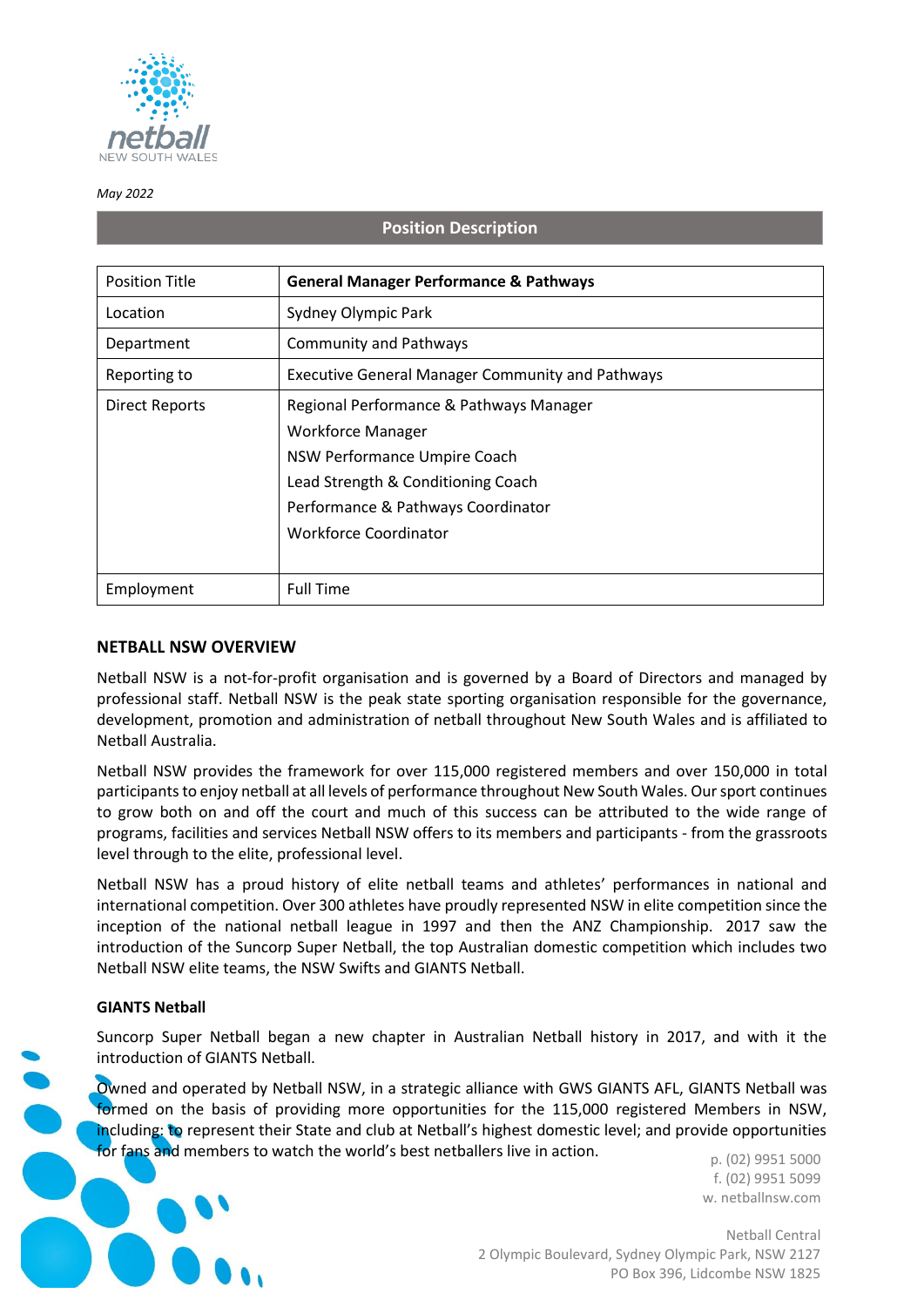

#### *May 2022*

## **Position Description**

| <b>Position Title</b> | <b>General Manager Performance &amp; Pathways</b>                                                                                                                                                               |
|-----------------------|-----------------------------------------------------------------------------------------------------------------------------------------------------------------------------------------------------------------|
| Location              | Sydney Olympic Park                                                                                                                                                                                             |
| Department            | <b>Community and Pathways</b>                                                                                                                                                                                   |
| Reporting to          | <b>Executive General Manager Community and Pathways</b>                                                                                                                                                         |
| <b>Direct Reports</b> | Regional Performance & Pathways Manager<br><b>Workforce Manager</b><br>NSW Performance Umpire Coach<br>Lead Strength & Conditioning Coach<br>Performance & Pathways Coordinator<br><b>Workforce Coordinator</b> |
| Employment            | <b>Full Time</b>                                                                                                                                                                                                |

### **NETBALL NSW OVERVIEW**

Netball NSW is a not-for-profit organisation and is governed by a Board of Directors and managed by professional staff. Netball NSW is the peak state sporting organisation responsible for the governance, development, promotion and administration of netball throughout New South Wales and is affiliated to Netball Australia.

Netball NSW provides the framework for over 115,000 registered members and over 150,000 in total participants to enjoy netball at all levels of performance throughout New South Wales. Our sport continues to grow both on and off the court and much of this success can be attributed to the wide range of programs, facilities and services Netball NSW offers to its members and participants - from the grassroots level through to the elite, professional level.

Netball NSW has a proud history of elite netball teams and athletes' performances in national and international competition. Over 300 athletes have proudly represented NSW in elite competition since the inception of the national netball league in 1997 and then the ANZ Championship. 2017 saw the introduction of the Suncorp Super Netball, the top Australian domestic competition which includes two Netball NSW elite teams, the NSW Swifts and GIANTS Netball.

#### **GIANTS Netball**

Suncorp Super Netball began a new chapter in Australian Netball history in 2017, and with it the introduction of GIANTS Netball.

Owned and operated by Netball NSW, in a strategic alliance with GWS GIANTS AFL, GIANTS Netball was formed on the basis of providing more opportunities for the 115,000 registered Members in NSW, including: to represent their State and club at Netball's highest domestic level; and provide opportunities for fans and members to watch the world's best netballers live in action.

p. (02) 9951 5000 f. (02) 9951 5099 w. netballnsw.com

Netball Central 2 Olympic Boulevard, Sydney Olympic Park, NSW 2127 PO Box 396, Lidcombe NSW 1825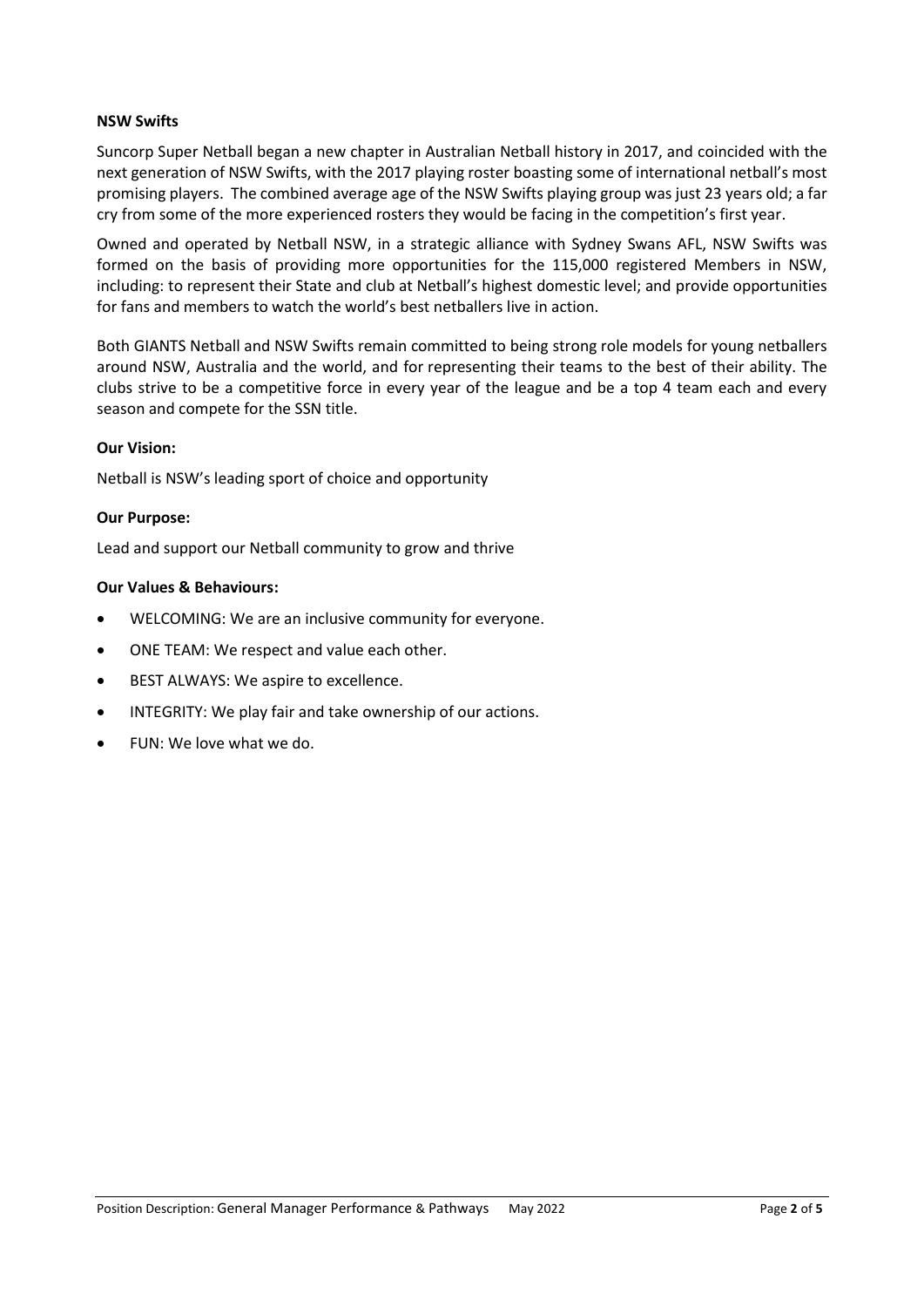## **NSW Swifts**

Suncorp Super Netball began a new chapter in Australian Netball history in 2017, and coincided with the next generation of NSW Swifts, with the 2017 playing roster boasting some of international netball's most promising players. The combined average age of the NSW Swifts playing group was just 23 years old; a far cry from some of the more experienced rosters they would be facing in the competition's first year.

Owned and operated by Netball NSW, in a strategic alliance with Sydney Swans AFL, NSW Swifts was formed on the basis of providing more opportunities for the 115,000 registered Members in NSW, including: to represent their State and club at Netball's highest domestic level; and provide opportunities for fans and members to watch the world's best netballers live in action.

Both GIANTS Netball and NSW Swifts remain committed to being strong role models for young netballers around NSW, Australia and the world, and for representing their teams to the best of their ability. The clubs strive to be a competitive force in every year of the league and be a top 4 team each and every season and compete for the SSN title.

## **Our Vision:**

Netball is NSW's leading sport of choice and opportunity

### **Our Purpose:**

Lead and support our Netball community to grow and thrive

### **Our Values & Behaviours:**

- WELCOMING: We are an inclusive community for everyone.
- ONE TEAM: We respect and value each other.
- BEST ALWAYS: We aspire to excellence.
- INTEGRITY: We play fair and take ownership of our actions.
- FUN: We love what we do.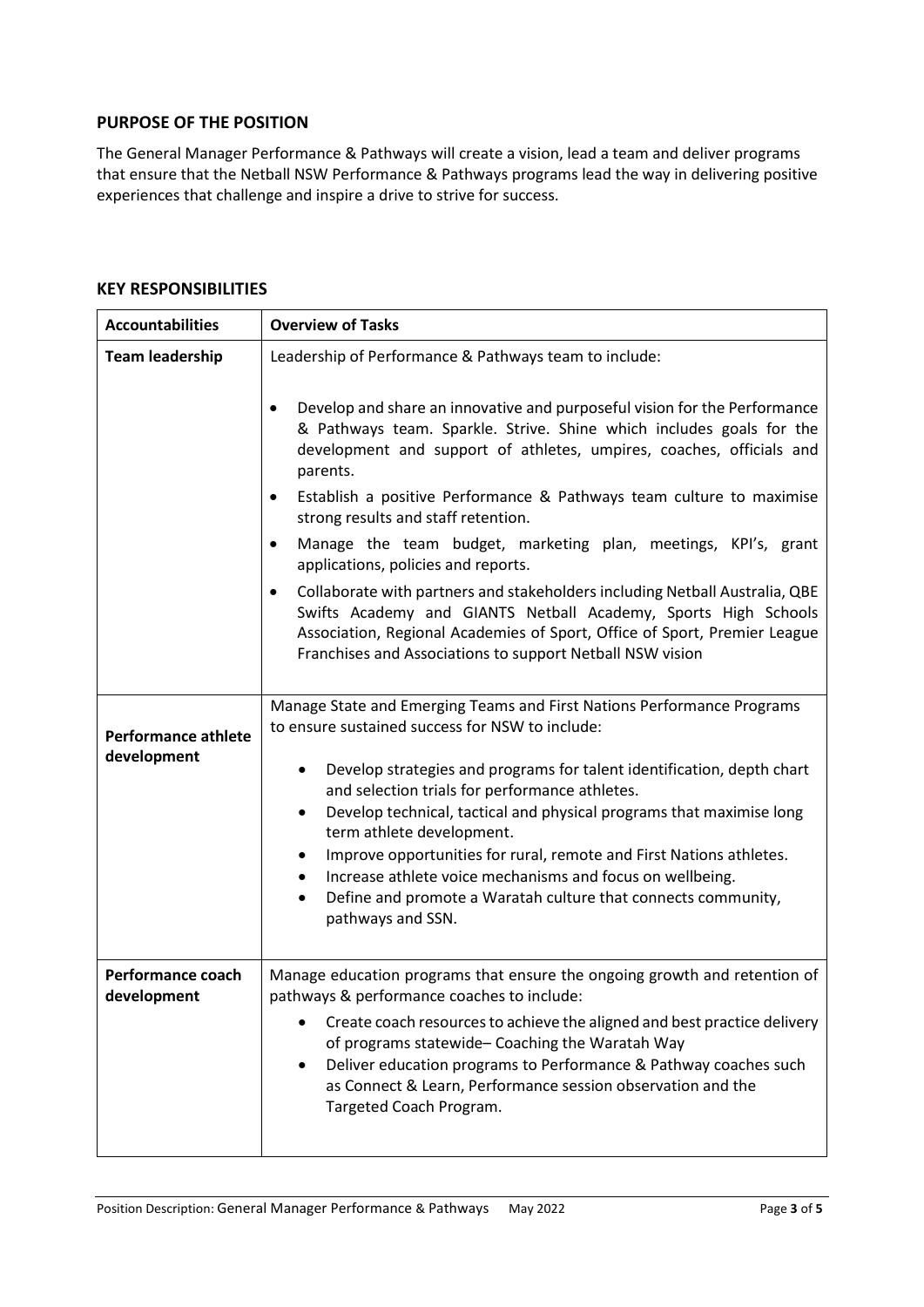## **PURPOSE OF THE POSITION**

The General Manager Performance & Pathways will create a vision, lead a team and deliver programs that ensure that the Netball NSW Performance & Pathways programs lead the way in delivering positive experiences that challenge and inspire a drive to strive for success.

## **KEY RESPONSIBILITIES**

| <b>Accountabilities</b>                   | <b>Overview of Tasks</b>                                                                                                                                                                                                                                                                                                                                                                                                                                                                                                           |
|-------------------------------------------|------------------------------------------------------------------------------------------------------------------------------------------------------------------------------------------------------------------------------------------------------------------------------------------------------------------------------------------------------------------------------------------------------------------------------------------------------------------------------------------------------------------------------------|
| <b>Team leadership</b>                    | Leadership of Performance & Pathways team to include:                                                                                                                                                                                                                                                                                                                                                                                                                                                                              |
|                                           | Develop and share an innovative and purposeful vision for the Performance<br>$\bullet$<br>& Pathways team. Sparkle. Strive. Shine which includes goals for the<br>development and support of athletes, umpires, coaches, officials and<br>parents.                                                                                                                                                                                                                                                                                 |
|                                           | Establish a positive Performance & Pathways team culture to maximise<br>$\bullet$<br>strong results and staff retention.                                                                                                                                                                                                                                                                                                                                                                                                           |
|                                           | Manage the team budget, marketing plan, meetings, KPI's, grant<br>$\bullet$<br>applications, policies and reports.                                                                                                                                                                                                                                                                                                                                                                                                                 |
|                                           | Collaborate with partners and stakeholders including Netball Australia, QBE<br>$\bullet$<br>Swifts Academy and GIANTS Netball Academy, Sports High Schools<br>Association, Regional Academies of Sport, Office of Sport, Premier League<br>Franchises and Associations to support Netball NSW vision                                                                                                                                                                                                                               |
| <b>Performance athlete</b><br>development | Manage State and Emerging Teams and First Nations Performance Programs<br>to ensure sustained success for NSW to include:<br>Develop strategies and programs for talent identification, depth chart<br>$\bullet$<br>and selection trials for performance athletes.<br>Develop technical, tactical and physical programs that maximise long<br>$\bullet$<br>term athlete development.<br>Improve opportunities for rural, remote and First Nations athletes.<br>٠<br>Increase athlete voice mechanisms and focus on wellbeing.<br>٠ |
|                                           | Define and promote a Waratah culture that connects community,<br>$\bullet$<br>pathways and SSN.                                                                                                                                                                                                                                                                                                                                                                                                                                    |
| Performance coach<br>development          | Manage education programs that ensure the ongoing growth and retention of<br>pathways & performance coaches to include:                                                                                                                                                                                                                                                                                                                                                                                                            |
|                                           | Create coach resources to achieve the aligned and best practice delivery<br>of programs statewide- Coaching the Waratah Way<br>Deliver education programs to Performance & Pathway coaches such<br>as Connect & Learn, Performance session observation and the<br>Targeted Coach Program.                                                                                                                                                                                                                                          |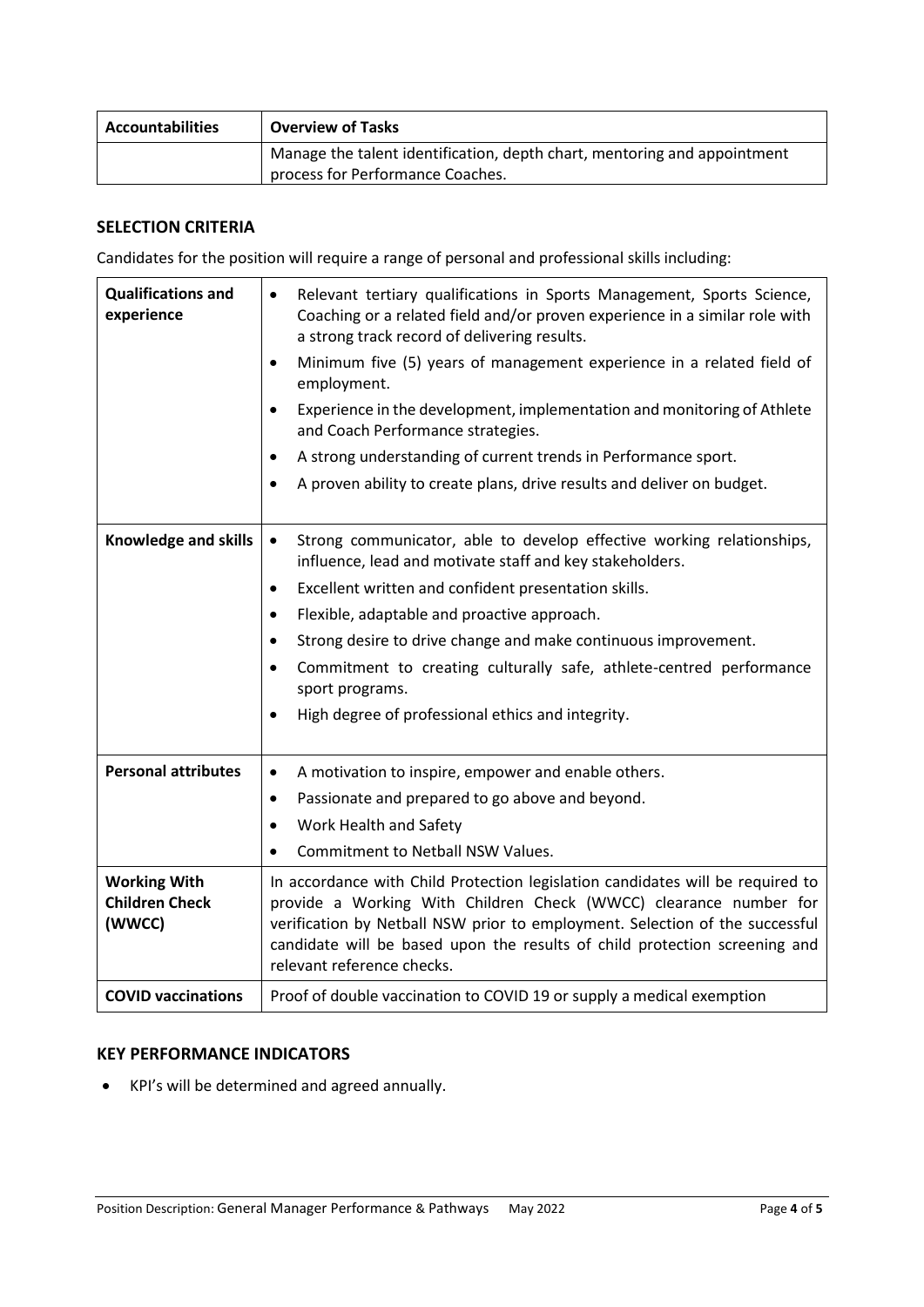| <b>Accountabilities</b> | <b>Overview of Tasks</b>                                                                                     |
|-------------------------|--------------------------------------------------------------------------------------------------------------|
|                         | Manage the talent identification, depth chart, mentoring and appointment<br>process for Performance Coaches. |

# **SELECTION CRITERIA**

Candidates for the position will require a range of personal and professional skills including:

| <b>Qualifications and</b><br>experience                | Relevant tertiary qualifications in Sports Management, Sports Science,<br>$\bullet$<br>Coaching or a related field and/or proven experience in a similar role with<br>a strong track record of delivering results.<br>Minimum five (5) years of management experience in a related field of<br>$\bullet$<br>employment.<br>Experience in the development, implementation and monitoring of Athlete<br>$\bullet$<br>and Coach Performance strategies.<br>A strong understanding of current trends in Performance sport.<br>٠<br>A proven ability to create plans, drive results and deliver on budget.<br>$\bullet$ |
|--------------------------------------------------------|--------------------------------------------------------------------------------------------------------------------------------------------------------------------------------------------------------------------------------------------------------------------------------------------------------------------------------------------------------------------------------------------------------------------------------------------------------------------------------------------------------------------------------------------------------------------------------------------------------------------|
| <b>Knowledge and skills</b>                            | Strong communicator, able to develop effective working relationships,<br>$\bullet$<br>influence, lead and motivate staff and key stakeholders.<br>Excellent written and confident presentation skills.<br>$\bullet$<br>Flexible, adaptable and proactive approach.<br>$\bullet$<br>Strong desire to drive change and make continuous improvement.<br>$\bullet$<br>Commitment to creating culturally safe, athlete-centred performance<br>$\bullet$<br>sport programs.<br>High degree of professional ethics and integrity.<br>$\bullet$                                                                            |
| <b>Personal attributes</b>                             | A motivation to inspire, empower and enable others.<br>$\bullet$                                                                                                                                                                                                                                                                                                                                                                                                                                                                                                                                                   |
|                                                        | Passionate and prepared to go above and beyond.<br>$\bullet$                                                                                                                                                                                                                                                                                                                                                                                                                                                                                                                                                       |
|                                                        | Work Health and Safety<br>$\bullet$                                                                                                                                                                                                                                                                                                                                                                                                                                                                                                                                                                                |
|                                                        | Commitment to Netball NSW Values.<br>$\bullet$                                                                                                                                                                                                                                                                                                                                                                                                                                                                                                                                                                     |
| <b>Working With</b><br><b>Children Check</b><br>(WWCC) | In accordance with Child Protection legislation candidates will be required to<br>provide a Working With Children Check (WWCC) clearance number for<br>verification by Netball NSW prior to employment. Selection of the successful<br>candidate will be based upon the results of child protection screening and<br>relevant reference checks.                                                                                                                                                                                                                                                                    |
| <b>COVID vaccinations</b>                              | Proof of double vaccination to COVID 19 or supply a medical exemption                                                                                                                                                                                                                                                                                                                                                                                                                                                                                                                                              |

# **KEY PERFORMANCE INDICATORS**

• KPI's will be determined and agreed annually.